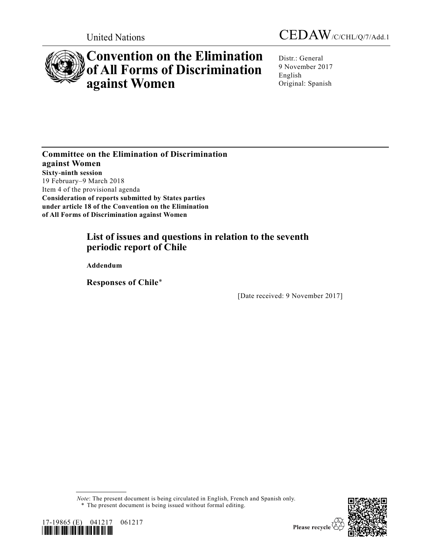



# **Convention on the Elimination of All Forms of Discrimination against Women**

Distr.: General 9 November 2017 English Original: Spanish

**Committee on the Elimination of Discrimination against Women Sixty-ninth session** 19 February–9 March 2018 Item 4 of the provisional agenda **Consideration of reports submitted by States parties under article 18 of the Convention on the Elimination of All Forms of Discrimination against Women**

# **List of issues and questions in relation to the seventh periodic report of Chile**

**Addendum** 

**Responses of Chile**\*

[Date received: 9 November 2017]

*Note*: The present document is being circulated in English, French and Spanish only. \* The present document is being issued without formal editing.





Please recycle  $\overline{\mathcal{C}}$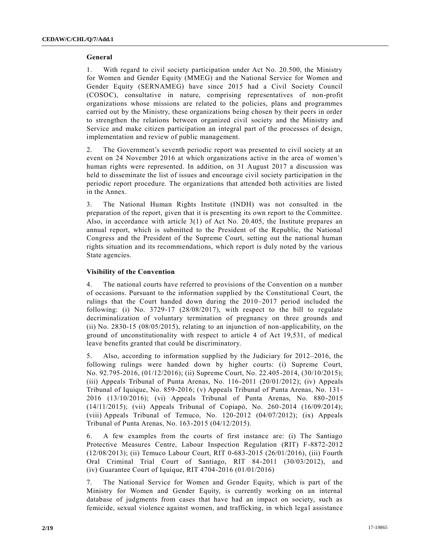## **General**

1. With regard to civil society participation under Act No. 20.500, the Ministry for Women and Gender Equity (MMEG) and the National Service for Women and Gender Equity (SERNAMEG) have since 2015 had a Civil Society Council (COSOC), consultative in nature, comprising representatives of non-profit organizations whose missions are related to the policies, plans and programmes carried out by the Ministry, these organizations being chosen by their peers in order to strengthen the relations between organized civil society and the Ministry and Service and make citizen participation an integral part of the processes of design, implementation and review of public management.

2. The Government's seventh periodic report was presented to civil society at an event on 24 November 2016 at which organizations active in the area of women's human rights were represented. In addition, on 31 August 2017 a discussion was held to disseminate the list of issues and encourage civil society participation in the periodic report procedure. The organizations that attended both activities are listed in the Annex.

3. The National Human Rights Institute (INDH) was not consulted in the preparation of the report, given that it is presenting its own report to the Committee. Also, in accordance with article 3(1) of Act No. 20.405, the Institute prepares an annual report, which is submitted to the President of the Republic, the National Congress and the President of the Supreme Court, setting out the national human rights situation and its recommendations, which report is duly noted by the various State agencies.

## **Visibility of the Convention**

4. The national courts have referred to provisions of the Convention on a number of occasions. Pursuant to the information supplied by the Constitutional Court, the rulings that the Court handed down during the 2010–2017 period included the following: (i) No. 3729-17 (28/08/2017), with respect to the bill to regulate decriminalization of voluntary termination of pregnancy on three grounds and (ii) No. 2830-15 (08/05/2015), relating to an injunction of non-applicability, on the ground of unconstitutionality with respect to article 4 of Act 19,531, of medical leave benefits granted that could be discriminatory.

5. Also, according to information supplied by the Judiciary for 2012–2016, the following rulings were handed down by higher courts: (i) Supreme Court, No. 92.795-2016, (01/12/2016); (ii) Supreme Court, No. 22.405-2014, (30/10/2015); (iii) Appeals Tribunal of Punta Arenas, No.  $116-2011$  (20/01/2012); (iv) Appeals Tribunal of Iquique, No. 859-2016; (v) Appeals Tribunal of Punta Arenas, No. 131- 2016 (13/10/2016); (vi) Appeals Tribunal of Punta Arenas, No. 880-2015 (14/11/2015); (vii) Appeals Tribunal of Copiapó, No. 260-2014 (16/09/2014); (viii) Appeals Tribunal of Temuco, No. 120-2012 (04/07/2012); (ix) Appeals Tribunal of Punta Arenas, No. 163-2015 (04/12/2015).

6. A few examples from the courts of first instance are: (i) The Santiago Protective Measures Centre, Labour Inspection Regulation (RIT) F-8872-2012 (12/08/2013); (ii) Temuco Labour Court, RIT 0-683-2015 (26/01/2016), (iii) Fourth Oral Criminal Trial Court of Santiago, RIT 84-2011 (30/03/2012), and (iv) Guarantee Court of Iquique, RIT 4704-2016 (01/01/2016)

7. The National Service for Women and Gender Equity, which is part of the Ministry for Women and Gender Equity, is currently working on an internal database of judgments from cases that have had an impact on society, such as femicide, sexual violence against women, and trafficking, in which legal assistance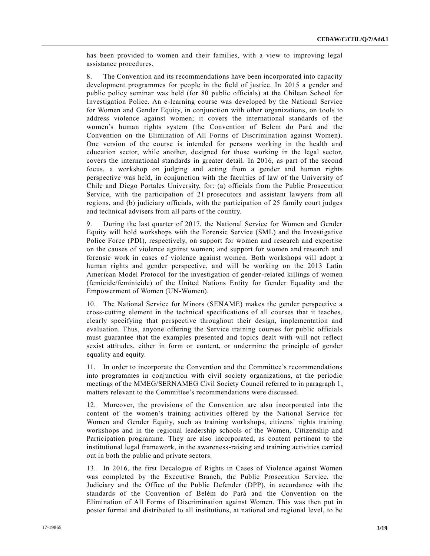has been provided to women and their families, with a view to improving legal assistance procedures.

8. The Convention and its recommendations have been incorporated into capacity development programmes for people in the field of justice. In 2015 a gender and public policy seminar was held (for 80 public officials) at the Chilean School for Investigation Police. An e-learning course was developed by the National Service for Women and Gender Equity, in conjunction with other organizations, on tools to address violence against women; it covers the international standards of the women's human rights system (the Convention of Belem do Pará and the Convention on the Elimination of All Forms of Discrimination against Women). One version of the course is intended for persons working in the health and education sector, while another, designed for those working in the legal sector, covers the international standards in greater detail. In 2016, as part of the second focus, a workshop on judging and acting from a gender and human rights perspective was held, in conjunction with the faculties of law of the University of Chile and Diego Portales University, for: (a) officials from the Public Prosecution Service, with the participation of 21 prosecutors and assistant lawyers from all regions, and (b) judiciary officials, with the participation of 25 family court judges and technical advisers from all parts of the country.

9. During the last quarter of 2017, the National Service for Women and Gender Equity will hold workshops with the Forensic Service (SML) and the Investigative Police Force (PDI), respectively, on support for women and research and expertise on the causes of violence against women; and support for women and research and forensic work in cases of violence against women. Both workshops will adopt a human rights and gender perspective, and will be working on the 2013 Latin American Model Protocol for the investigation of gender-related killings of women (femicide/feminicide) of the United Nations Entity for Gender Equality and the Empowerment of Women (UN-Women).

10. The National Service for Minors (SENAME) makes the gender perspective a cross-cutting element in the technical specifications of all courses that it teaches, clearly specifying that perspective throughout their design, implementation and evaluation. Thus, anyone offering the Service training courses for public officials must guarantee that the examples presented and topics dealt with will not reflect sexist attitudes, either in form or content, or undermine the principle of gender equality and equity.

11. In order to incorporate the Convention and the Committee's recommendations into programmes in conjunction with civil society organizations, at the periodic meetings of the MMEG/SERNAMEG Civil Society Council referred to in paragraph 1, matters relevant to the Committee's recommendations were discussed.

12. Moreover, the provisions of the Convention are also incorporated into the content of the women's training activities offered by the National Service for Women and Gender Equity, such as training workshops, citizens' rights training workshops and in the regional leadership schools of the Women, Citizenship and Participation programme. They are also incorporated, as content pertinent to the institutional legal framework, in the awareness-raising and training activities carried out in both the public and private sectors.

13. In 2016, the first Decalogue of Rights in Cases of Violence against Women was completed by the Executive Branch, the Public Prosecution Service, the Judiciary and the Office of the Public Defender (DPP), in accordance with the standards of the Convention of Belém do Pará and the Convention on the Elimination of All Forms of Discrimination against Women. This was then put in poster format and distributed to all institutions, at national and regional level, to be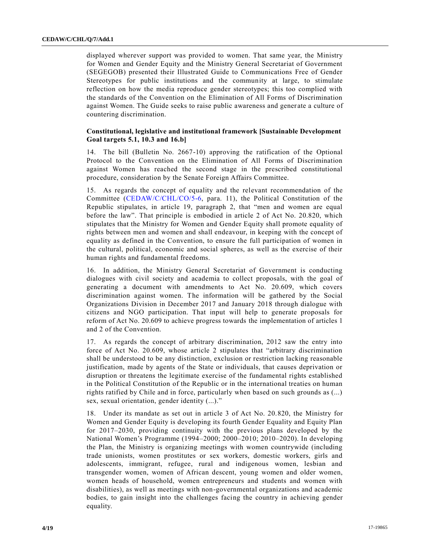displayed wherever support was provided to women. That same year, the Ministry for Women and Gender Equity and the Ministry General Secretariat of Government (SEGEGOB) presented their Illustrated Guide to Communications Free of Gender Stereotypes for public institutions and the community at large, to stimulate reflection on how the media reproduce gender stereotypes; this too complied with the standards of the Convention on the Elimination of All Forms of Discrimination against Women. The Guide seeks to raise public awareness and gener ate a culture of countering discrimination.

# **Constitutional, legislative and institutional framework [Sustainable Development Goal targets 5.1, 10.3 and 16.b]**

14. The bill (Bulletin No. 2667-10) approving the ratification of the Optional Protocol to the Convention on the Elimination of All Forms of Discrimination against Women has reached the second stage in the prescribed constitutional procedure, consideration by the Senate Foreign Affairs Committee.

15. As regards the concept of equality and the relevant recommendation of the Committee [\(CEDAW/C/CHL/CO/5-6,](https://undocs.org/CEDAW/C/CHL/CO/5-6) para. 11), the Political Constitution of the Republic stipulates, in article 19, paragraph 2, that "men and women are equal before the law". That principle is embodied in article 2 of Act No. 20.820, which stipulates that the Ministry for Women and Gender Equity shall promote equality of rights between men and women and shall endeavour, in keeping with the concept of equality as defined in the Convention, to ensure the full participation of women in the cultural, political, economic and social spheres, as well as the exercise of their human rights and fundamental freedoms.

16. In addition, the Ministry General Secretariat of Government is conducting dialogues with civil society and academia to collect proposals, with the goal of generating a document with amendments to Act No. 20.609, which covers discrimination against women. The information will be gathered by the Social Organizations Division in December 2017 and January 2018 through dialogue with citizens and NGO participation. That input will help to generate proposals for reform of Act No. 20.609 to achieve progress towards the implementation of articles 1 and 2 of the Convention.

17. As regards the concept of arbitrary discrimination, 2012 saw the entry into force of Act No. 20.609, whose article 2 stipulates that "arbitrary discrimination shall be understood to be any distinction, exclusion or restriction lacking reasonable justification, made by agents of the State or individuals, that causes deprivation or disruption or threatens the legitimate exercise of the fundamental rights established in the Political Constitution of the Republic or in the international treaties on human rights ratified by Chile and in force, particularly when based on such grounds as (...) sex, sexual orientation, gender identity (...)."

18. Under its mandate as set out in article 3 of Act No. 20.820, the Ministry for Women and Gender Equity is developing its fourth Gender Equality and Equity Plan for 2017–2030, providing continuity with the previous plans developed by the National Women's Programme (1994–2000; 2000–2010; 2010–2020). In developing the Plan, the Ministry is organizing meetings with women countrywide (including trade unionists, women prostitutes or sex workers, domestic workers, girls and adolescents, immigrant, refugee, rural and indigenous women, lesbian and transgender women, women of African descent, young women and older women, women heads of household, women entrepreneurs and students and women with disabilities), as well as meetings with non-governmental organizations and academic bodies, to gain insight into the challenges facing the country in achieving gender equality.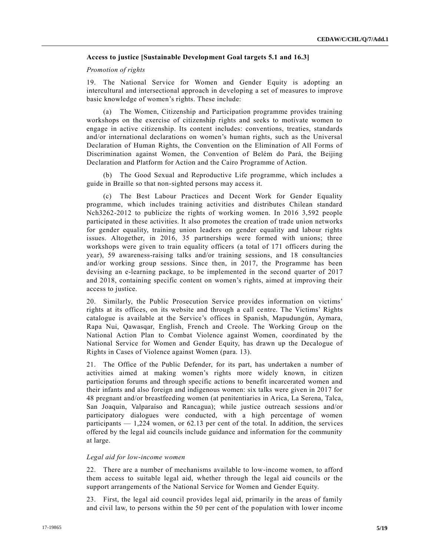# **Access to justice [Sustainable Development Goal targets 5.1 and 16.3]**

## *Promotion of rights*

19. The National Service for Women and Gender Equity is adopting an intercultural and intersectional approach in developing a set of measures to improve basic knowledge of women's rights. These include:

(a) The Women, Citizenship and Participation programme provides training workshops on the exercise of citizenship rights and seeks to motivate women to engage in active citizenship. Its content includes: conventions, treaties, standards and/or international declarations on women's human rights, such as the Universal Declaration of Human Rights, the Convention on the Elimination of All Forms of Discrimination against Women, the Convention of Belém do Pará, the Beijing Declaration and Platform for Action and the Cairo Programme of Action.

(b) The Good Sexual and Reproductive Life programme, which includes a guide in Braille so that non-sighted persons may access it.

(c) The Best Labour Practices and Decent Work for Gender Equality programme, which includes training activities and distributes Chilean standard Nch3262-2012 to publicize the rights of working women. In 2016 3,592 people participated in these activities. It also promotes the creation of trade union networks for gender equality, training union leaders on gender equality and labour rights issues. Altogether, in 2016, 35 partnerships were formed with unions; three workshops were given to train equality officers (a total of 171 officers during the year), 59 awareness-raising talks and/or training sessions, and 18 consultancies and/or working group sessions. Since then, in 2017, the Programme has been devising an e-learning package, to be implemented in the second quarter of 2017 and 2018, containing specific content on women's rights, aimed at improving their access to justice.

20. Similarly, the Public Prosecution Service provides information on victims' rights at its offices, on its website and through a call centre. The Victims' Rights catalogue is available at the Service's offices in Spanish, Mapudungún, Aymara, Rapa Nui, Qawasqar, English, French and Creole. The Working Group on the National Action Plan to Combat Violence against Women, coordinated by the National Service for Women and Gender Equity, has drawn up the Decalogue of Rights in Cases of Violence against Women (para. 13).

21. The Office of the Public Defender, for its part, has undertaken a number of activities aimed at making women's rights more widely known, in citizen participation forums and through specific actions to benefit incarcerated women and their infants and also foreign and indigenous women: six talks were given in 2017 for 48 pregnant and/or breastfeeding women (at penitentiaries in Arica, La Serena, Talca, San Joaquin, Valparaíso and Rancagua); while justice outreach sessions and/or participatory dialogues were conducted, with a high percentage of women participants — 1,224 women, or 62.13 per cent of the total. In addition, the services offered by the legal aid councils include guidance and information for the community at large.

#### *Legal aid for low-income women*

22. There are a number of mechanisms available to low-income women, to afford them access to suitable legal aid, whether through the legal aid councils or the support arrangements of the National Service for Women and Gender Equity.

23. First, the legal aid council provides legal aid, primarily in the areas of family and civil law, to persons within the 50 per cent of the population with lower income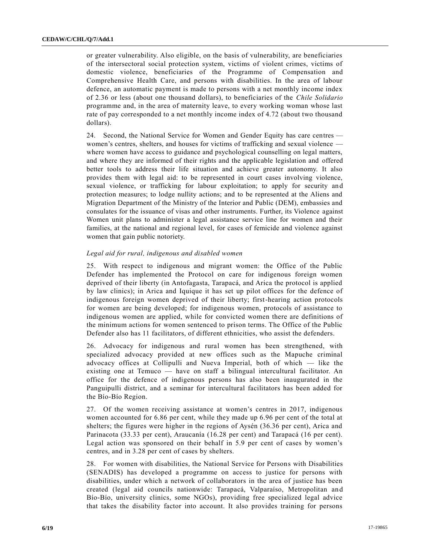or greater vulnerability. Also eligible, on the basis of vulnerability, are beneficiaries of the intersectoral social protection system, victims of violent crimes, victims of domestic violence, beneficiaries of the Programme of Compensation and Comprehensive Health Care, and persons with disabilities. In the area of labour defence, an automatic payment is made to persons with a net monthly income index of 2.36 or less (about one thousand dollars), to beneficiaries of the *Chile Solidario* programme and, in the area of maternity leave, to every working woman whose last rate of pay corresponded to a net monthly income index of 4.72 (about two thousand dollars).

24. Second, the National Service for Women and Gender Equity has care centres women's centres, shelters, and houses for victims of trafficking and sexual violence where women have access to guidance and psychological counselling on legal matters, and where they are informed of their rights and the applicable legislation and offered better tools to address their life situation and achieve greater autonomy. It also provides them with legal aid: to be represented in court cases involving violence, sexual violence, or trafficking for labour exploitation; to apply for security and protection measures; to lodge nullity actions; and to be represented at the Aliens and Migration Department of the Ministry of the Interior and Public (DEM), embassies and consulates for the issuance of visas and other instruments. Further, its Violence against Women unit plans to administer a legal assistance service line for women and their families, at the national and regional level, for cases of femicide and violence against women that gain public notoriety.

## *Legal aid for rural, indigenous and disabled women*

25. With respect to indigenous and migrant women: the Office of the Public Defender has implemented the Protocol on care for indigenous foreign women deprived of their liberty (in Antofagasta, Tarapacá, and Arica the protocol is applied by law clinics); in Arica and Iquique it has set up pilot offices for the defence of indigenous foreign women deprived of their liberty; first-hearing action protocols for women are being developed; for indigenous women, protocols of assistance to indigenous women are applied, while for convicted women there are definitions of the minimum actions for women sentenced to prison terms. The Office of the Public Defender also has 11 facilitators, of different ethnicities, who assist the defenders.

26. Advocacy for indigenous and rural women has been strengthened, with specialized advocacy provided at new offices such as the Mapuche criminal advocacy offices at Collipulli and Nueva Imperial, both of which — like the existing one at Temuco — have on staff a bilingual intercultural facilitator. An office for the defence of indigenous persons has also been inaugurated in the Panguipulli district, and a seminar for intercultural facilitators has been added for the Bío-Bío Region.

27. Of the women receiving assistance at women's centres in 2017, indigenous women accounted for 6.86 per cent, while they made up 6.96 per cent of the total at shelters; the figures were higher in the regions of Aysén (36.36 per cent), Arica and Parinacota (33.33 per cent), Araucanía (16.28 per cent) and Tarapacá (16 per cent). Legal action was sponsored on their behalf in 5.9 per cent of cases by women's centres, and in 3.28 per cent of cases by shelters.

28. For women with disabilities, the National Service for Persons with Disabilities (SENADIS) has developed a programme on access to justice for persons with disabilities, under which a network of collaborators in the area of justice has been created (legal aid councils nationwide: Tarapacá, Valparaíso, Metropolitan an d Bío-Bío, university clinics, some NGOs), providing free specialized legal advice that takes the disability factor into account. It also provides training for persons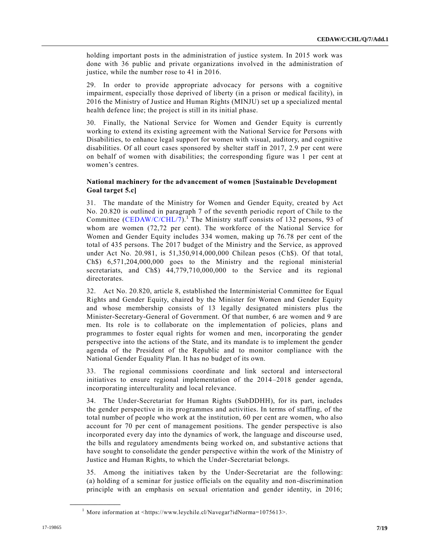holding important posts in the administration of justice system. In 2015 work was done with 36 public and private organizations involved in the administration of justice, while the number rose to 41 in 2016.

29. In order to provide appropriate advocacy for persons with a cognitive impairment, especially those deprived of liberty (in a prison or medical facility), in 2016 the Ministry of Justice and Human Rights (MINJU) set up a specialized mental health defence line; the project is still in its initial phase.

30. Finally, the National Service for Women and Gender Equity is currently working to extend its existing agreement with the National Service for Persons with Disabilities, to enhance legal support for women with visual, auditory, and cognitive disabilities. Of all court cases sponsored by shelter staff in 2017, 2.9 per cent were on behalf of women with disabilities; the corresponding figure was 1 per cent at women's centres.

# **National machinery for the advancement of women [Sustainable Development Goal target 5.c]**

31. The mandate of the Ministry for Women and Gender Equity, created by Act No. 20.820 is outlined in paragraph 7 of the seventh periodic report of Chile to the Committee [\(CEDAW/C/CHL/7\)](https://undocs.org/CEDAW/C/CHL/7).<sup>1</sup> The Ministry staff consists of 132 persons, 93 of whom are women (72,72 per cent). The workforce of the National Service for Women and Gender Equity includes 334 women, making up 76.78 per cent of the total of 435 persons. The 2017 budget of the Ministry and the Service, as approved under Act No. 20.981, is 51,350,914,000,000 Chilean pesos (Ch\$). Of that total, Ch\$) 6,571,204,000,000 goes to the Ministry and the regional ministerial secretariats, and Ch\$) 44,779,710,000,000 to the Service and its regional directorates.

32. Act No. 20.820, article 8, established the Interministerial Committee for Equal Rights and Gender Equity, chaired by the Minister for Women and Gender Equity and whose membership consists of 13 legally designated ministers plus the Minister-Secretary-General of Government. Of that number, 6 are women and 9 are men. Its role is to collaborate on the implementation of policies, plans and programmes to foster equal rights for women and men, incorporating the gender perspective into the actions of the State, and its mandate is to implement the gender agenda of the President of the Republic and to monitor compliance with the National Gender Equality Plan. It has no budget of its own.

33. The regional commissions coordinate and link sectoral and intersectoral initiatives to ensure regional implementation of the 2014–2018 gender agenda, incorporating interculturality and local relevance.

34. The Under-Secretariat for Human Rights (SubDDHH), for its part, includes the gender perspective in its programmes and activities. In terms of staffing, of the total number of people who work at the institution, 60 per cent are women, who also account for 70 per cent of management positions. The gender perspective is also incorporated every day into the dynamics of work, the language and discourse used, the bills and regulatory amendments being worked on, and substantive actions that have sought to consolidate the gender perspective within the work of the Ministry of Justice and Human Rights, to which the Under-Secretariat belongs.

35. Among the initiatives taken by the Under-Secretariat are the following: (a) holding of a seminar for justice officials on the equality and non-discrimination principle with an emphasis on sexual orientation and gender identity, in 2016;

<sup>&</sup>lt;sup>1</sup> More information at  $\langle \text{https://www.levchile.cl/Navegar?idNorma=1075613>}$ .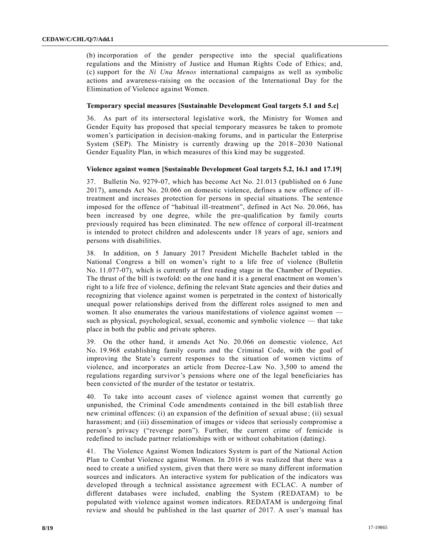(b) incorporation of the gender perspective into the special qualifications regulations and the Ministry of Justice and Human Rights Code of Ethics; and, (c) support for the *Ni Una Menos* international campaigns as well as symbolic actions and awareness-raising on the occasion of the International Day for the Elimination of Violence against Women.

#### **Temporary special measures [Sustainable Development Goal targets 5.1 and 5.c]**

36. As part of its intersectoral legislative work, the Ministry for Women and Gender Equity has proposed that special temporary measures be taken to promote women's participation in decision-making forums, and in particular the Enterprise System (SEP). The Ministry is currently drawing up the 2018–2030 National Gender Equality Plan, in which measures of this kind may be suggested.

#### **Violence against women [Sustainable Development Goal targets 5.2, 16.1 and 17.19]**

37. Bulletin No. 9279-07, which has become Act No. 21.013 (published on 6 June 2017), amends Act No. 20.066 on domestic violence, defines a new offence of illtreatment and increases protection for persons in special situations. The sentence imposed for the offence of "habitual ill-treatment", defined in Act No. 20.066, has been increased by one degree, while the pre-qualification by family courts previously required has been eliminated. The new offence of corporal ill-treatment is intended to protect children and adolescents under 18 years of age, seniors and persons with disabilities.

38. In addition, on 5 January 2017 President Michelle Bachelet tabled in the National Congress a bill on women's right to a life free of violence (Bulletin No. 11.077-07), which is currently at first reading stage in the Chamber of Deputies. The thrust of the bill is twofold: on the one hand it is a general enactment on women's right to a life free of violence, defining the relevant State agencies and their duties and recognizing that violence against women is perpetrated in the context of historically unequal power relationships derived from the different roles assigned to men and women. It also enumerates the various manifestations of violence against women such as physical, psychological, sexual, economic and symbolic violence — that take place in both the public and private spheres.

39. On the other hand, it amends Act No. 20.066 on domestic violence, Act No. 19.968 establishing family courts and the Criminal Code, with the goal of improving the State's current responses to the situation of women victims of violence, and incorporates an article from Decree-Law No. 3,500 to amend the regulations regarding survivor's pensions where one of the legal beneficiaries has been convicted of the murder of the testator or testatrix.

40. To take into account cases of violence against women that currently go unpunished, the Criminal Code amendments contained in the bill establish three new criminal offences: (i) an expansion of the definition of sexual abuse ; (ii) sexual harassment; and (iii) dissemination of images or videos that seriously compromise a person's privacy ("revenge porn"). Further, the current crime of femicide is redefined to include partner relationships with or without cohabitation (dating).

41. The Violence Against Women Indicators System is part of the National Action Plan to Combat Violence against Women. In 2016 it was realized that there was a need to create a unified system, given that there were so many different information sources and indicators. An interactive system for publication of the indicators was developed through a technical assistance agreement with ECLAC. A number of different databases were included, enabling the System (REDATAM) to be populated with violence against women indicators. REDATAM is undergoing final review and should be published in the last quarter of 2017. A user's manual has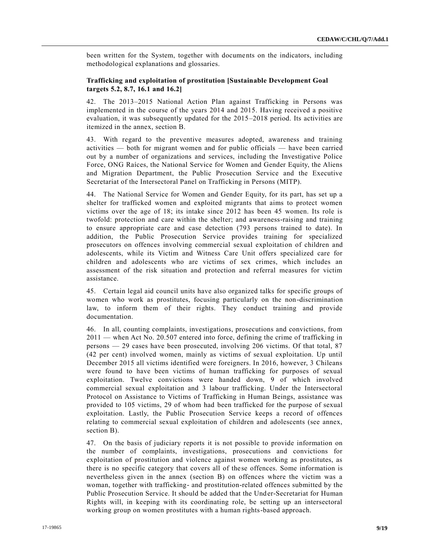been written for the System, together with documents on the indicators, including methodological explanations and glossaries.

# **Trafficking and exploitation of prostitution [Sustainable Development Goal targets 5.2, 8.7, 16.1 and 16.2]**

42. The 2013–2015 National Action Plan against Trafficking in Persons was implemented in the course of the years 2014 and 2015. Having received a positive evaluation, it was subsequently updated for the 2015–2018 period. Its activities are itemized in the annex, section B.

43. With regard to the preventive measures adopted, awareness and training activities — both for migrant women and for public officials — have been carried out by a number of organizations and services, including the Investigative Police Force, ONG Raíces, the National Service for Women and Gender Equity, the Aliens and Migration Department, the Public Prosecution Service and the Executive Secretariat of the Intersectoral Panel on Trafficking in Persons (MITP).

44. The National Service for Women and Gender Equity, for its part, has set up a shelter for trafficked women and exploited migrants that aims to protect women victims over the age of 18; its intake since 2012 has been 45 women. Its role is twofold: protection and care within the shelter; and awareness-raising and training to ensure appropriate care and case detection (793 persons trained to date). In addition, the Public Prosecution Service provides training for specialized prosecutors on offences involving commercial sexual exploitation of children and adolescents, while its Victim and Witness Care Unit offers specialized care for children and adolescents who are victims of sex crimes, which includes an assessment of the risk situation and protection and referral measures for victim assistance.

45. Certain legal aid council units have also organized talks for specific groups of women who work as prostitutes, focusing particularly on the non-discrimination law, to inform them of their rights. They conduct training and provide documentation.

46. In all, counting complaints, investigations, prosecutions and convictions, from 2011 — when Act No. 20.507 entered into force, defining the crime of trafficking in persons — 29 cases have been prosecuted, involving 206 victims. Of that total, 87 (42 per cent) involved women, mainly as victims of sexual exploitation. Up until December 2015 all victims identified were foreigners. In 2016, however, 3 Chileans were found to have been victims of human trafficking for purposes of sexual exploitation. Twelve convictions were handed down, 9 of which involved commercial sexual exploitation and 3 labour trafficking. Under the Intersectoral Protocol on Assistance to Victims of Trafficking in Human Beings, assistance was provided to 105 victims, 29 of whom had been trafficked for the purpose of sexual exploitation. Lastly, the Public Prosecution Service keeps a record of offences relating to commercial sexual exploitation of children and adolescents (see annex, section B).

47. On the basis of judiciary reports it is not possible to provide information on the number of complaints, investigations, prosecutions and convictions for exploitation of prostitution and violence against women working as prostitutes, as there is no specific category that covers all of these offences. Some information is nevertheless given in the annex (section B) on offences where the victim was a woman, together with trafficking- and prostitution-related offences submitted by the Public Prosecution Service. It should be added that the Under-Secretariat for Human Rights will, in keeping with its coordinating role, be setting up an intersectoral working group on women prostitutes with a human rights-based approach.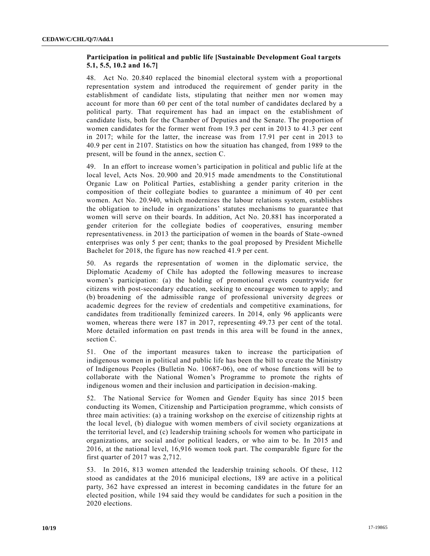# **Participation in political and public life [Sustainable Development Goal targets 5.1, 5.5, 10.2 and 16.7]**

48. Act No. 20.840 replaced the binomial electoral system with a proportional representation system and introduced the requirement of gender parity in the establishment of candidate lists, stipulating that neither men nor women may account for more than 60 per cent of the total number of candidates declared by a political party. That requirement has had an impact on the establishment of candidate lists, both for the Chamber of Deputies and the Senate. The proportion of women candidates for the former went from 19.3 per cent in 2013 to 41.3 per cent in 2017; while for the latter, the increase was from 17.91 per cent in 2013 to 40.9 per cent in 2107. Statistics on how the situation has changed, from 1989 to the present, will be found in the annex, section C.

49. In an effort to increase women's participation in political and public life at the local level, Acts Nos. 20.900 and 20.915 made amendments to the Constitutional Organic Law on Political Parties, establishing a gender parity criterion in the composition of their collegiate bodies to guarantee a minimum of 40 per cent women. Act No. 20.940, which modernizes the labour relations system, establishes the obligation to include in organizations' statutes mechanisms to guarantee that women will serve on their boards. In addition, Act No. 20.881 has incorporated a gender criterion for the collegiate bodies of cooperatives, ensuring member representativeness. in 2013 the participation of women in the boards of State -owned enterprises was only 5 per cent; thanks to the goal proposed by President Michelle Bachelet for 2018, the figure has now reached 41.9 per cent.

50. As regards the representation of women in the diplomatic service, the Diplomatic Academy of Chile has adopted the following measures to increase women's participation: (a) the holding of promotional events countrywide for citizens with post-secondary education, seeking to encourage women to apply; and (b) broadening of the admissible range of professional university degrees or academic degrees for the review of credentials and competitive examinations, for candidates from traditionally feminized careers. In 2014, only 96 applicants were women, whereas there were 187 in 2017, representing 49.73 per cent of the total. More detailed information on past trends in this area will be found in the annex, section C.

51. One of the important measures taken to increase the participation of indigenous women in political and public life has been the bill to create the Ministry of Indigenous Peoples (Bulletin No. 10687-06), one of whose functions will be to collaborate with the National Women's Programme to promote the rights of indigenous women and their inclusion and participation in decision-making.

52. The National Service for Women and Gender Equity has since 2015 been conducting its Women, Citizenship and Participation programme, which consists of three main activities: (a) a training workshop on the exercise of citizenship rights at the local level, (b) dialogue with women members of civil society organizations at the territorial level, and (c) leadership training schools for women who participate in organizations, are social and/or political leaders, or who aim to be. In 2015 and 2016, at the national level, 16,916 women took part. The comparable figure for the first quarter of 2017 was 2,712.

53. In 2016, 813 women attended the leadership training schools. Of these, 112 stood as candidates at the 2016 municipal elections, 189 are active in a political party, 362 have expressed an interest in becoming candidates in the future for an elected position, while 194 said they would be candidates for such a position in the 2020 elections.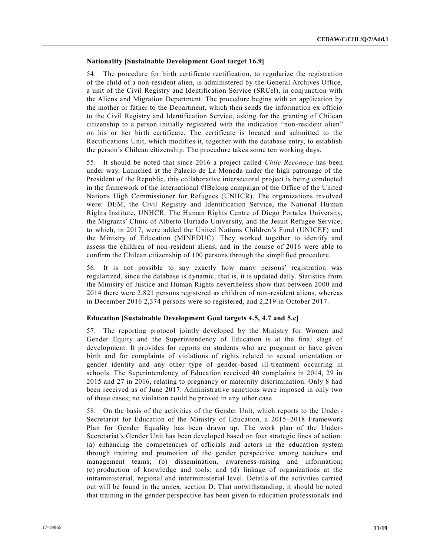# **Nationality [Sustainable Development Goal target 16.9]**

54. The procedure for birth certificate rectification, to regularize the registration of the child of a non-resident alien, is administered by the General Archives Office, a unit of the Civil Registry and Identification Service (SRCel), in conjunction with the Aliens and Migration Department. The procedure begins with an application by the mother or father to the Department, which then sends the information ex officio to the Civil Registry and Identification Service, asking for the granting of Chilean citizenship to a person initially registered with the indication "non-resident alien" on his or her birth certificate. The certificate is located and submitted to the Rectifications Unit, which modifies it, together with the database entry, to establish the person's Chilean citizenship. The procedure takes some ten working days.

55. It should be noted that since 2016 a project called *Chile Reconoce* has been under way. Launched at the Palacio de La Moneda under the high patronage of the President of the Republic, this collaborative intersectoral project is being conducted in the framework of the international #IBelong campaign of the Office of the United Nations High Commissioner for Refugees (UNHCR). The organizations involved were: DEM, the Civil Registry and Identification Service, the National Human Rights Institute, UNHCR, The Human Rights Centre of Diego Portales University, the Migrants' Clinic of Alberto Hurtado University, and the Jesuit Refugee Service; to which, in 2017, were added the United Nations Children's Fund (UNICEF) and the Ministry of Education (MINEDUC). They worked together to identify and assess the children of non-resident aliens, and in the course of 2016 were able to confirm the Chilean citizenship of 100 persons through the simplified procedure.

56. It is not possible to say exactly how many persons' registration was regularized, since the database is dynamic, that is, it is updated daily. Statistics from the Ministry of Justice and Human Rights nevertheless show that between 2000 and 2014 there were 2,821 persons registered as children of non-resident aliens, whereas in December 2016 2,374 persons were so registered, and 2,219 in October 2017.

## **Education [Sustainable Development Goal targets 4.5, 4.7 and 5.c]**

57. The reporting protocol jointly developed by the Ministry for Women and Gender Equity and the Superintendency of Education is at the final stage of development. It provides for reports on students who are pregnant or have given birth and for complaints of violations of rights related to sexual orientation or gender identity and any other type of gender-based ill-treatment occurring in schools. The Superintendency of Education received 40 complaints in 2014, 29 in 2015 and 27 in 2016, relating to pregnancy or maternity discrimination. Only 8 had been received as of June 2017. Administrative sanctions were imposed in only two of these cases; no violation could be proved in any other case.

58. On the basis of the activities of the Gender Unit, which reports to the Under-Secretariat for Education of the Ministry of Education, a 2015–2018 Framework Plan for Gender Equality has been drawn up. The work plan of the Under-Secretariat's Gender Unit has been developed based on four strategic lines of action: (a) enhancing the competencies of officials and actors in the education system through training and promotion of the gender perspective among teachers and management teams; (b) dissemination, awareness-raising and information; (c) production of knowledge and tools; and (d) linkage of organizations at the intraministerial, regional and interministerial level. Details of the activities carried out will be found in the annex, section D. That notwithstanding, it should be noted that training in the gender perspective has been given to education professionals and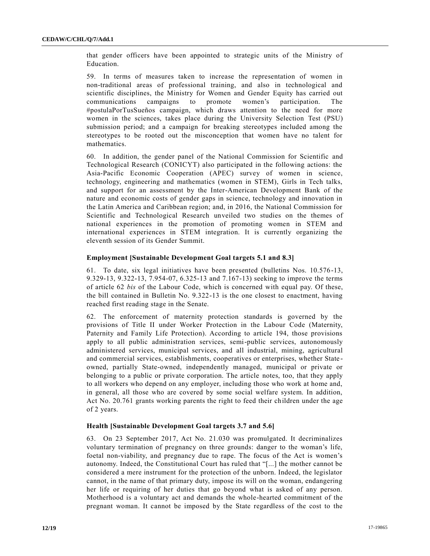that gender officers have been appointed to strategic units of the Ministry of Education.

59. In terms of measures taken to increase the representation of women in non-traditional areas of professional training, and also in technological and scientific disciplines, the Ministry for Women and Gender Equity has carried out communications campaigns to promote women's participation. The #postulaPorTusSueños campaign, which draws attention to the need for more women in the sciences, takes place during the University Selection Test (PSU) submission period; and a campaign for breaking stereotypes included among the stereotypes to be rooted out the misconception that women have no talent for mathematics.

60. In addition, the gender panel of the National Commission for Scientific and Technological Research (CONICYT) also participated in the following actions: the Asia-Pacific Economic Cooperation (APEC) survey of women in science, technology, engineering and mathematics (women in STEM), Girls in Tech talks, and support for an assessment by the Inter-American Development Bank of the nature and economic costs of gender gaps in science, technology and innovation in the Latin America and Caribbean region; and, in 2016, the National Commission for Scientific and Technological Research unveiled two studies on the themes of national experiences in the promotion of promoting women in STEM and international experiences in STEM integration. It is currently organizing the eleventh session of its Gender Summit.

## **Employment [Sustainable Development Goal targets 5.1 and 8.3]**

61. To date, six legal initiatives have been presented (bulletins Nos. 10.576-13, 9.329-13, 9.322-13, 7.954-07, 6.325-13 and 7.167-13) seeking to improve the terms of article 62 *bis* of the Labour Code, which is concerned with equal pay. Of these, the bill contained in Bulletin No. 9.322-13 is the one closest to enactment, having reached first reading stage in the Senate.

62. The enforcement of maternity protection standards is governed by the provisions of Title II under Worker Protection in the Labour Code (Maternity, Paternity and Family Life Protection). According to article 194, those provisions apply to all public administration services, semi-public services, autonomously administered services, municipal services, and all industrial, mining, agricultural and commercial services, establishments, cooperatives or enterprises, whether State owned, partially State-owned, independently managed, municipal or private or belonging to a public or private corporation. The article notes, too, that they apply to all workers who depend on any employer, including those who work at home and, in general, all those who are covered by some social welfare system. In addition, Act No. 20.761 grants working parents the right to feed their children under the age of 2 years.

#### **Health [Sustainable Development Goal targets 3.7 and 5.6]**

63. On 23 September 2017, Act No. 21.030 was promulgated. It decriminalizes voluntary termination of pregnancy on three grounds: danger to the woman's life, foetal non-viability, and pregnancy due to rape. The focus of the Act is women's autonomy. Indeed, the Constitutional Court has ruled that "[...] the mother cannot be considered a mere instrument for the protection of the unborn. Indeed, the legislator cannot, in the name of that primary duty, impose its will on the woman, endangering her life or requiring of her duties that go beyond what is asked of any person. Motherhood is a voluntary act and demands the whole-hearted commitment of the pregnant woman. It cannot be imposed by the State regardless of the cost to the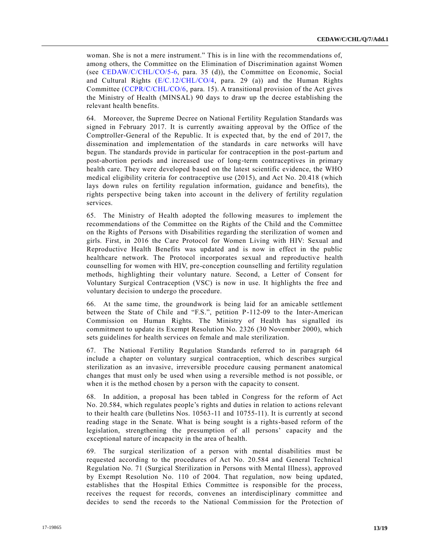woman. She is not a mere instrument." This is in line with the recommendations of, among others, the Committee on the Elimination of Discrimination against Women (see [CEDAW/C/CHL/CO/5-6,](https://undocs.org/CEDAW/C/CHL/CO/5-6) para. 35 (d)), the Committee on Economic, Social and Cultural Rights  $(E/C.12/CHL/CO/4$ , para. 29 (a)) and the Human Rights Committee [\(CCPR/C/CHL/CO/6,](https://undocs.org/CCPR/C/CHL/CO/6) para. 15). A transitional provision of the Act gives the Ministry of Health (MINSAL) 90 days to draw up the decree establishing the relevant health benefits.

64. Moreover, the Supreme Decree on National Fertility Regulation Standards was signed in February 2017. It is currently awaiting approval by the Office of the Comptroller-General of the Republic. It is expected that, by the end of 2017, the dissemination and implementation of the standards in care networks will have begun. The standards provide in particular for contraception in the post-partum and post-abortion periods and increased use of long-term contraceptives in primary health care. They were developed based on the latest scientific evidence, the WHO medical eligibility criteria for contraceptive use (2015), and Act No. 20.418 (which lays down rules on fertility regulation information, guidance and benefits), the rights perspective being taken into account in the delivery of fertility regulation services.

65. The Ministry of Health adopted the following measures to implement the recommendations of the Committee on the Rights of the Child and the Committee on the Rights of Persons with Disabilities regarding the sterilization of women and girls. First, in 2016 the Care Protocol for Women Living with HIV: Sexual and Reproductive Health Benefits was updated and is now in effect in the public healthcare network. The Protocol incorporates sexual and reproductive health counselling for women with HIV, pre-conception counselling and fertility regulation methods, highlighting their voluntary nature. Second, a Letter of Consent for Voluntary Surgical Contraception (VSC) is now in use. It highlights the free and voluntary decision to undergo the procedure.

66. At the same time, the groundwork is being laid for an amicable settlement between the State of Chile and "F.S.", petition P-112-09 to the Inter-American Commission on Human Rights. The Ministry of Health has signalled its commitment to update its Exempt Resolution No. 2326 (30 November 2000), which sets guidelines for health services on female and male sterilization.

67. The National Fertility Regulation Standards referred to in paragraph 64 include a chapter on voluntary surgical contraception, which describes surgical sterilization as an invasive, irreversible procedure causing permanent anatomical changes that must only be used when using a reversible method is not possible, or when it is the method chosen by a person with the capacity to consent.

68. In addition, a proposal has been tabled in Congress for the reform of Act No. 20.584, which regulates people's rights and duties in relation to actions relevant to their health care (bulletins Nos. 10563-11 and 10755-11). It is currently at second reading stage in the Senate. What is being sought is a rights-based reform of the legislation, strengthening the presumption of all persons' capacity and the exceptional nature of incapacity in the area of health.

69. The surgical sterilization of a person with mental disabilities must be requested according to the procedures of Act No. 20.584 and General Technical Regulation No. 71 (Surgical Sterilization in Persons with Mental Illness), approved by Exempt Resolution No. 110 of 2004. That regulation, now being updated, establishes that the Hospital Ethics Committee is responsible for the process, receives the request for records, convenes an interdisciplinary committee and decides to send the records to the National Commission for the Protection of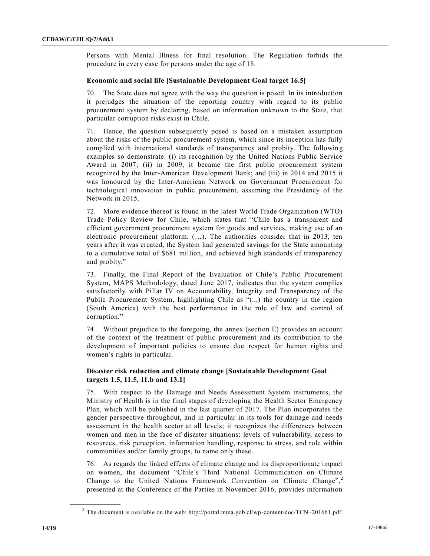Persons with Mental Illness for final resolution. The Regulation forbids the procedure in every case for persons under the age of 18.

# **Economic and social life [Sustainable Development Goal target 16.5]**

70. The State does not agree with the way the question is posed. In its introduction it prejudges the situation of the reporting country with regard to its public procurement system by declaring, based on information unknown to the State, that particular corruption risks exist in Chile.

71. Hence, the question subsequently posed is based on a mistaken assumption about the risks of the public procurement system, which since its inception has fully complied with international standards of transparency and probity. The followin g examples so demonstrate: (i) its recognition by the United Nations Public Service Award in 2007; (ii) in 2009, it became the first public procurement system recognized by the Inter-American Development Bank; and (iii) in 2014 and 2015 it was honoured by the Inter-American Network on Government Procurement for technological innovation in public procurement, assuming the Presidency of the Network in 2015.

72. More evidence thereof is found in the latest World Trade Organization (WTO) Trade Policy Review for Chile, which states that "Chile has a transparent and efficient government procurement system for goods and services, making use of an electronic procurement platform. (…). The authorities consider that in 2013, ten years after it was created, the System had generated savings for the State amounting to a cumulative total of \$681 million, and achieved high standards of transparency and probity."

73. Finally, the Final Report of the Evaluation of Chile's Public Procurement System, MAPS Methodology, dated June 2017, indicates that the system complies satisfactorily with Pillar IV on Accountability, Integrity and Transparency of the Public Procurement System, highlighting Chile as "(...) the country in the region (South America) with the best performance in the rule of law and control of corruption."

74. Without prejudice to the foregoing, the annex (section E) provides an account of the context of the treatment of public procurement and its contribution to the development of important policies to ensure due respect for human rights and women's rights in particular.

# **Disaster risk reduction and climate change [Sustainable Development Goal targets 1.5, 11.5, 11.b and 13.1]**

75. With respect to the Damage and Needs Assessment System instruments, the Ministry of Health is in the final stages of developing the Health Sector Emergency Plan, which will be published in the last quarter of 2017. The Plan incorporates the gender perspective throughout, and in particular in its tools for damage and needs assessment in the health sector at all levels; it recognizes the differences between women and men in the face of disaster situations: levels of vulnerability, access to resources, risk perception, information handling, response to stress, and role within communities and/or family groups, to name only these.

76. As regards the linked effects of climate change and its disproportionate impact on women, the document "Chile's Third National Communication on Climate Change to the United Nations Framework Convention on Climate Change",<sup>2</sup> presented at the Conference of the Parties in November 2016, provides information

<sup>&</sup>lt;sup>2</sup> The document is available on the web: http://portal.mma.gob.cl/wp-content/doc/TCN–2016b1.pdf.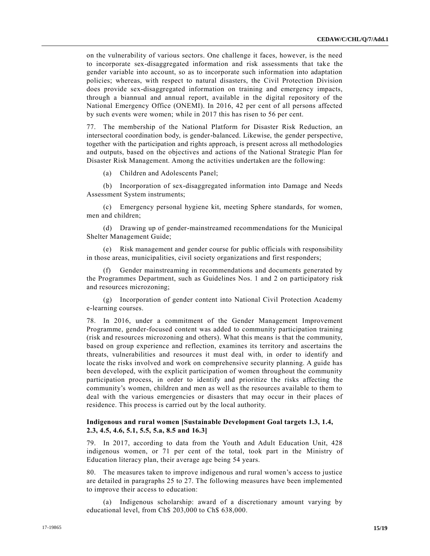on the vulnerability of various sectors. One challenge it faces, however, is the need to incorporate sex-disaggregated information and risk assessments that take the gender variable into account, so as to incorporate such information into adaptation policies; whereas, with respect to natural disasters, the Civil Protection Division does provide sex-disaggregated information on training and emergency impacts, through a biannual and annual report, available in the digital repository of the National Emergency Office (ONEMI). In 2016, 42 per cent of all persons affected by such events were women; while in 2017 this has risen to 56 per cent.

77. The membership of the National Platform for Disaster Risk Reduction, an intersectoral coordination body, is gender-balanced. Likewise, the gender perspective, together with the participation and rights approach, is present across all methodologies and outputs, based on the objectives and actions of the National Strategic Plan for Disaster Risk Management. Among the activities undertaken are the following:

(a) Children and Adolescents Panel;

(b) Incorporation of sex-disaggregated information into Damage and Needs Assessment System instruments;

(c) Emergency personal hygiene kit, meeting Sphere standards, for women, men and children;

(d) Drawing up of gender-mainstreamed recommendations for the Municipal Shelter Management Guide;

(e) Risk management and gender course for public officials with responsibility in those areas, municipalities, civil society organizations and first responders;

(f) Gender mainstreaming in recommendations and documents generated by the Programmes Department, such as Guidelines Nos. 1 and 2 on participatory risk and resources microzoning;

(g) Incorporation of gender content into National Civil Protection Academy e-learning courses.

78. In 2016, under a commitment of the Gender Management Improvement Programme, gender-focused content was added to community participation training (risk and resources microzoning and others). What this means is that the community, based on group experience and reflection, examines its territory and ascertains the threats, vulnerabilities and resources it must deal with, in order to identify and locate the risks involved and work on comprehensive security planning. A guide has been developed, with the explicit participation of women throughout the community participation process, in order to identify and prioritize the risks affecting the community's women, children and men as well as the resources available to them to deal with the various emergencies or disasters that may occur in their places of residence. This process is carried out by the local authority.

# **Indigenous and rural women [Sustainable Development Goal targets 1.3, 1.4, 2.3, 4.5, 4.6, 5.1, 5.5, 5.a, 8.5 and 16.3]**

79. In 2017, according to data from the Youth and Adult Education Unit, 428 indigenous women, or 71 per cent of the total, took part in the Ministry of Education literacy plan, their average age being 54 years.

80. The measures taken to improve indigenous and rural women's access to justice are detailed in paragraphs 25 to 27. The following measures have been implemented to improve their access to education:

(a) Indigenous scholarship: award of a discretionary amount varying by educational level, from Ch\$ 203,000 to Ch\$ 638,000.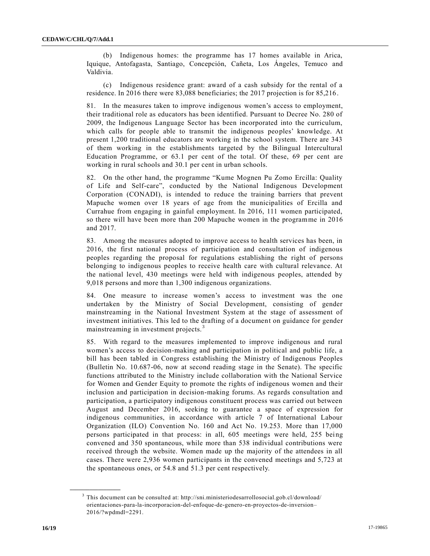(b) Indigenous homes: the programme has 17 homes available in Arica, Iquique, Antofagasta, Santiago, Concepción, Cañeta, Los Ángeles, Temuco and Valdivia.

(c) Indigenous residence grant: award of a cash subsidy for the rental of a residence. In 2016 there were 83,088 beneficiaries; the 2017 projection is for 85,216.

81. In the measures taken to improve indigenous women's access to employment, their traditional role as educators has been identified. Pursuant to Decree No. 280 of 2009, the Indigenous Language Sector has been incorporated into the curriculum, which calls for people able to transmit the indigenous peoples' knowledge. At present 1,200 traditional educators are working in the school system. There are 343 of them working in the establishments targeted by the Bilingual Intercultural Education Programme, or 63.1 per cent of the total. Of these, 69 per cent are working in rural schools and 30.1 per cent in urban schools.

82. On the other hand, the programme "Kume Mognen Pu Zomo Ercilla: Quality of Life and Self-care", conducted by the National Indigenous Development Corporation (CONADI), is intended to reduce the training barriers that prevent Mapuche women over 18 years of age from the municipalities of Ercilla and Currahue from engaging in gainful employment. In 2016, 111 women participated, so there will have been more than 200 Mapuche women in the programme in 2016 and 2017.

83. Among the measures adopted to improve access to health services has been, in 2016, the first national process of participation and consultation of indigenous peoples regarding the proposal for regulations establishing the right of persons belonging to indigenous peoples to receive health care with cultural relevance. At the national level, 430 meetings were held with indigenous peoples, attended by 9,018 persons and more than 1,300 indigenous organizations.

84. One measure to increase women's access to investment was the one undertaken by the Ministry of Social Development, consisting of gender mainstreaming in the National Investment System at the stage of assessment of investment initiatives. This led to the drafting of a document on guidance for gender mainstreaming in investment projects.<sup>3</sup>

85. With regard to the measures implemented to improve indigenous and rural women's access to decision-making and participation in political and public life, a bill has been tabled in Congress establishing the Ministry of Indigenous Peoples (Bulletin No. 10.687-06, now at second reading stage in the Senate). The specific functions attributed to the Ministry include collaboration with the National Service for Women and Gender Equity to promote the rights of indigenous women and their inclusion and participation in decision-making forums. As regards consultation and participation, a participatory indigenous constituent process was carried out between August and December 2016, seeking to guarantee a space of expression for indigenous communities, in accordance with article 7 of International Labour Organization (ILO) Convention No. 160 and Act No. 19.253. More than 17,000 persons participated in that process: in all, 605 meetings were held, 255 being convened and 350 spontaneous, while more than 538 individual contributions were received through the website. Women made up the majority of the attendees in all cases. There were 2,936 women participants in the convened meetings and 5,723 at the spontaneous ones, or 54.8 and 51.3 per cent respectively.

 $3$  This document can be consulted at: http://sni.ministeriodesarrollosocial.gob.cl/download/ orientaciones-para-la-incorporacion-del-enfoque-de-genero-en-proyectos-de-inversion– 2016/?wpdmdl=2291.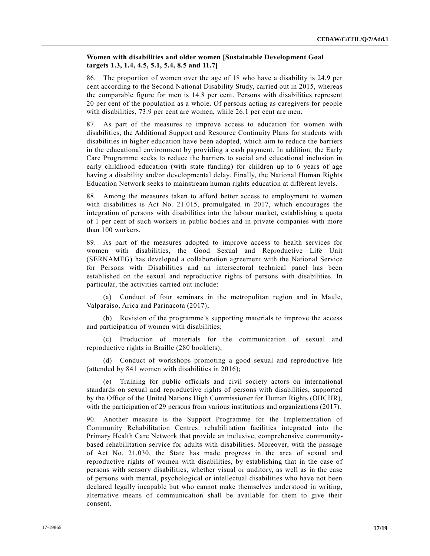# **Women with disabilities and older women [Sustainable Development Goal targets 1.3, 1.4, 4.5, 5.1, 5.4, 8.5 and 11.7]**

86. The proportion of women over the age of 18 who have a disability is 24.9 per cent according to the Second National Disability Study, carried out in 2015, whereas the comparable figure for men is 14.8 per cent. Persons with disabilities represent 20 per cent of the population as a whole. Of persons acting as caregivers for people with disabilities, 73.9 per cent are women, while 26.1 per cent are men.

87. As part of the measures to improve access to education for women with disabilities, the Additional Support and Resource Continuity Plans for students with disabilities in higher education have been adopted, which aim to reduce the barriers in the educational environment by providing a cash payment. In addition, the Early Care Programme seeks to reduce the barriers to social and educational inclusion in early childhood education (with state funding) for children up to 6 years of age having a disability and/or developmental delay. Finally, the National Human Rights Education Network seeks to mainstream human rights education at different levels.

88. Among the measures taken to afford better access to employment to women with disabilities is Act No. 21.015, promulgated in 2017, which encourages the integration of persons with disabilities into the labour market, establishing a quota of 1 per cent of such workers in public bodies and in private companies with more than 100 workers.

89. As part of the measures adopted to improve access to health services for women with disabilities, the Good Sexual and Reproductive Life Unit (SERNAMEG) has developed a collaboration agreement with the National Service for Persons with Disabilities and an intersectoral technical panel has been established on the sexual and reproductive rights of persons with disabilities. In particular, the activities carried out include:

(a) Conduct of four seminars in the metropolitan region and in Maule, Valparaíso, Arica and Parinacota (2017);

(b) Revision of the programme's supporting materials to improve the access and participation of women with disabilities;

(c) Production of materials for the communication of sexual and reproductive rights in Braille (280 booklets);

(d) Conduct of workshops promoting a good sexual and reproductive life (attended by 841 women with disabilities in 2016);

(e) Training for public officials and civil society actors on international standards on sexual and reproductive rights of persons with disabilities, supported by the Office of the United Nations High Commissioner for Human Rights (OHCHR), with the participation of 29 persons from various institutions and organizations (2017).

90. Another measure is the Support Programme for the Implementation of Community Rehabilitation Centres: rehabilitation facilities integrated into the Primary Health Care Network that provide an inclusive, comprehensive communitybased rehabilitation service for adults with disabilities. Moreover, with the passage of Act No. 21.030, the State has made progress in the area of sexual and reproductive rights of women with disabilities, by establishing that in the case of persons with sensory disabilities, whether visual or auditory, as well as in the case of persons with mental, psychological or intellectual disabilities who have not been declared legally incapable but who cannot make themselves understood in writing, alternative means of communication shall be available for them to give their consent.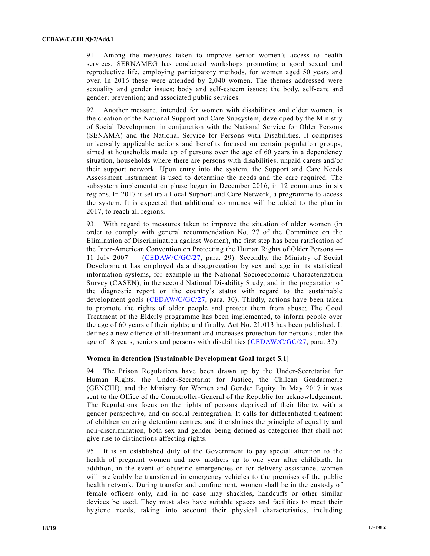91. Among the measures taken to improve senior women's access to health services, SERNAMEG has conducted workshops promoting a good sexual and reproductive life, employing participatory methods, for women aged 50 years and over. In 2016 these were attended by 2,040 women. The themes addressed were sexuality and gender issues; body and self-esteem issues; the body, self-care and gender; prevention; and associated public services.

92. Another measure, intended for women with disabilities and older women, is the creation of the National Support and Care Subsystem, developed by the Ministry of Social Development in conjunction with the National Service for Older Persons (SENAMA) and the National Service for Persons with Disabilities. It comprises universally applicable actions and benefits focused on certain population groups, aimed at households made up of persons over the age of 60 years in a dependency situation, households where there are persons with disabilities, unpaid carers and/or their support network. Upon entry into the system, the Support and Care Needs Assessment instrument is used to determine the needs and the care required. The subsystem implementation phase began in December 2016, in 12 communes in six regions. In 2017 it set up a Local Support and Care Network, a programme to access the system. It is expected that additional communes will be added to the plan in 2017, to reach all regions.

93. With regard to measures taken to improve the situation of older women (in order to comply with general recommendation No. 27 of the Committee on the Elimination of Discrimination against Women), the first step has been ratification of the Inter-American Convention on Protecting the Human Rights of Older Persons — 11 July 2007 — [\(CEDAW/C/GC/27,](https://undocs.org/CEDAW/C/GC/27) para. 29). Secondly, the Ministry of Social Development has employed data disaggregation by sex and age in its statistical information systems, for example in the National Socioeconomic Characterization Survey (CASEN), in the second National Disability Study, and in the preparation of the diagnostic report on the country's status with regard to the sustainable development goals [\(CEDAW/C/GC/27,](https://undocs.org/CEDAW/C/GC/27) para. 30). Thirdly, actions have been taken to promote the rights of older people and protect them from abuse; The Good Treatment of the Elderly programme has been implemented, to inform people over the age of 60 years of their rights; and finally, Act No. 21.013 has been published. It defines a new offence of ill-treatment and increases protection for persons under the age of 18 years, seniors and persons with disabilities [\(CEDAW/C/GC/27,](https://undocs.org/CEDAW/C/GC/27) para. 37).

## **Women in detention [Sustainable Development Goal target 5.1]**

94. The Prison Regulations have been drawn up by the Under-Secretariat for Human Rights, the Under-Secretariat for Justice, the Chilean Gendarmerie (GENCHI), and the Ministry for Women and Gender Equity. In May 2017 it was sent to the Office of the Comptroller-General of the Republic for acknowledgement. The Regulations focus on the rights of persons deprived of their liberty, with a gender perspective, and on social reintegration. It calls for differentiated treatment of children entering detention centres; and it enshrines the principle of equality and non-discrimination, both sex and gender being defined as categories that shall not give rise to distinctions affecting rights.

95. It is an established duty of the Government to pay special attention to the health of pregnant women and new mothers up to one year after childbirth. In addition, in the event of obstetric emergencies or for delivery assistance, women will preferably be transferred in emergency vehicles to the premises of the public health network. During transfer and confinement, women shall be in the custody of female officers only, and in no case may shackles, handcuffs or other similar devices be used. They must also have suitable spaces and facilities to meet their hygiene needs, taking into account their physical characteristics, including